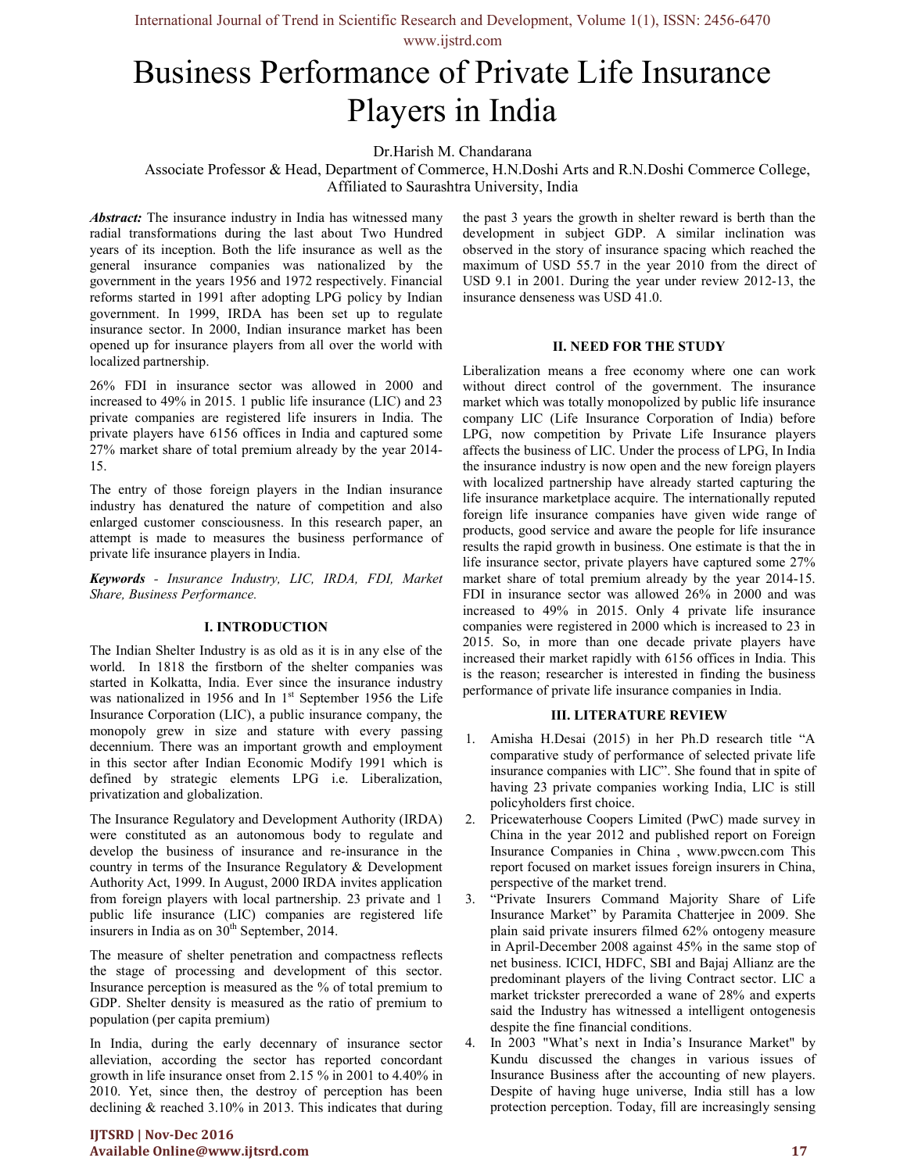International Journal of Trend in Scientific Research and Development, Volume 1(1), ISSN: 2456-6470 www.ijstrd.com

# Business Performance of Private Life Insurance Players in India

Dr.Harish M. Chandarana

Associate Professor & Head, Department of Commerce, H.N.Doshi Arts and R.N.Doshi Commerce College, Affiliated to Saurashtra University, India

Abstract: The insurance industry in India has witnessed many radial transformations during the last about Two Hundred years of its inception. Both the life insurance as well as the general insurance companies was nationalized by the government in the years 1956 and 1972 respectively. Financial reforms started in 1991 after adopting LPG policy by Indian government. In 1999, IRDA has been set up to regulate insurance sector. In 2000, Indian insurance market has been opened up for insurance players from all over the world with localized partnership.

26% FDI in insurance sector was allowed in 2000 and increased to 49% in 2015. 1 public life insurance (LIC) and 23 private companies are registered life insurers in India. The private players have 6156 offices in India and captured some 27% market share of total premium already by the year 2014- 15.

The entry of those foreign players in the Indian insurance industry has denatured the nature of competition and also enlarged customer consciousness. In this research paper, an attempt is made to measures the business performance of private life insurance players in India.

Keywords - Insurance Industry, LIC, IRDA, FDI, Market Share, Business Performance.

#### I. INTRODUCTION

The Indian Shelter Industry is as old as it is in any else of the world. In 1818 the firstborn of the shelter companies was started in Kolkatta, India. Ever since the insurance industry was nationalized in 1956 and In  $1<sup>st</sup>$  September 1956 the Life Insurance Corporation (LIC), a public insurance company, the monopoly grew in size and stature with every passing decennium. There was an important growth and employment in this sector after Indian Economic Modify 1991 which is defined by strategic elements LPG i.e. Liberalization, privatization and globalization.

The Insurance Regulatory and Development Authority (IRDA) were constituted as an autonomous body to regulate and develop the business of insurance and re-insurance in the country in terms of the Insurance Regulatory & Development Authority Act, 1999. In August, 2000 IRDA invites application from foreign players with local partnership. 23 private and 1 public life insurance (LIC) companies are registered life insurers in India as on  $30<sup>th</sup>$  September, 2014.

The measure of shelter penetration and compactness reflects the stage of processing and development of this sector. Insurance perception is measured as the % of total premium to GDP. Shelter density is measured as the ratio of premium to population (per capita premium)

In India, during the early decennary of insurance sector alleviation, according the sector has reported concordant growth in life insurance onset from 2.15 % in 2001 to 4.40% in 2010. Yet, since then, the destroy of perception has been declining & reached 3.10% in 2013. This indicates that during the past 3 years the growth in shelter reward is berth than the development in subject GDP. A similar inclination was observed in the story of insurance spacing which reached the maximum of USD 55.7 in the year 2010 from the direct of USD 9.1 in 2001. During the year under review 2012-13, the insurance denseness was USD 41.0.

#### II. NEED FOR THE STUDY

Liberalization means a free economy where one can work without direct control of the government. The insurance market which was totally monopolized by public life insurance company LIC (Life Insurance Corporation of India) before LPG, now competition by Private Life Insurance players affects the business of LIC. Under the process of LPG, In India the insurance industry is now open and the new foreign players with localized partnership have already started capturing the life insurance marketplace acquire. The internationally reputed foreign life insurance companies have given wide range of products, good service and aware the people for life insurance results the rapid growth in business. One estimate is that the in life insurance sector, private players have captured some 27% market share of total premium already by the year 2014-15. FDI in insurance sector was allowed 26% in 2000 and was increased to 49% in 2015. Only 4 private life insurance companies were registered in 2000 which is increased to 23 in 2015. So, in more than one decade private players have increased their market rapidly with 6156 offices in India. This is the reason; researcher is interested in finding the business performance of private life insurance companies in India.

#### III. LITERATURE REVIEW

- 1. Amisha H.Desai (2015) in her Ph.D research title "A comparative study of performance of selected private life insurance companies with LIC". She found that in spite of having 23 private companies working India, LIC is still policyholders first choice.
- 2. Pricewaterhouse Coopers Limited (PwC) made survey in China in the year 2012 and published report on Foreign Insurance Companies in China , www.pwccn.com This report focused on market issues foreign insurers in China, perspective of the market trend.
- 3. "Private Insurers Command Majority Share of Life Insurance Market" by Paramita Chatterjee in 2009. She plain said private insurers filmed 62% ontogeny measure in April-December 2008 against 45% in the same stop of net business. ICICI, HDFC, SBI and Bajaj Allianz are the predominant players of the living Contract sector. LIC a market trickster prerecorded a wane of 28% and experts said the Industry has witnessed a intelligent ontogenesis despite the fine financial conditions.
- In 2003 "What's next in India's Insurance Market" by Kundu discussed the changes in various issues of Insurance Business after the accounting of new players. Despite of having huge universe, India still has a low protection perception. Today, fill are increasingly sensing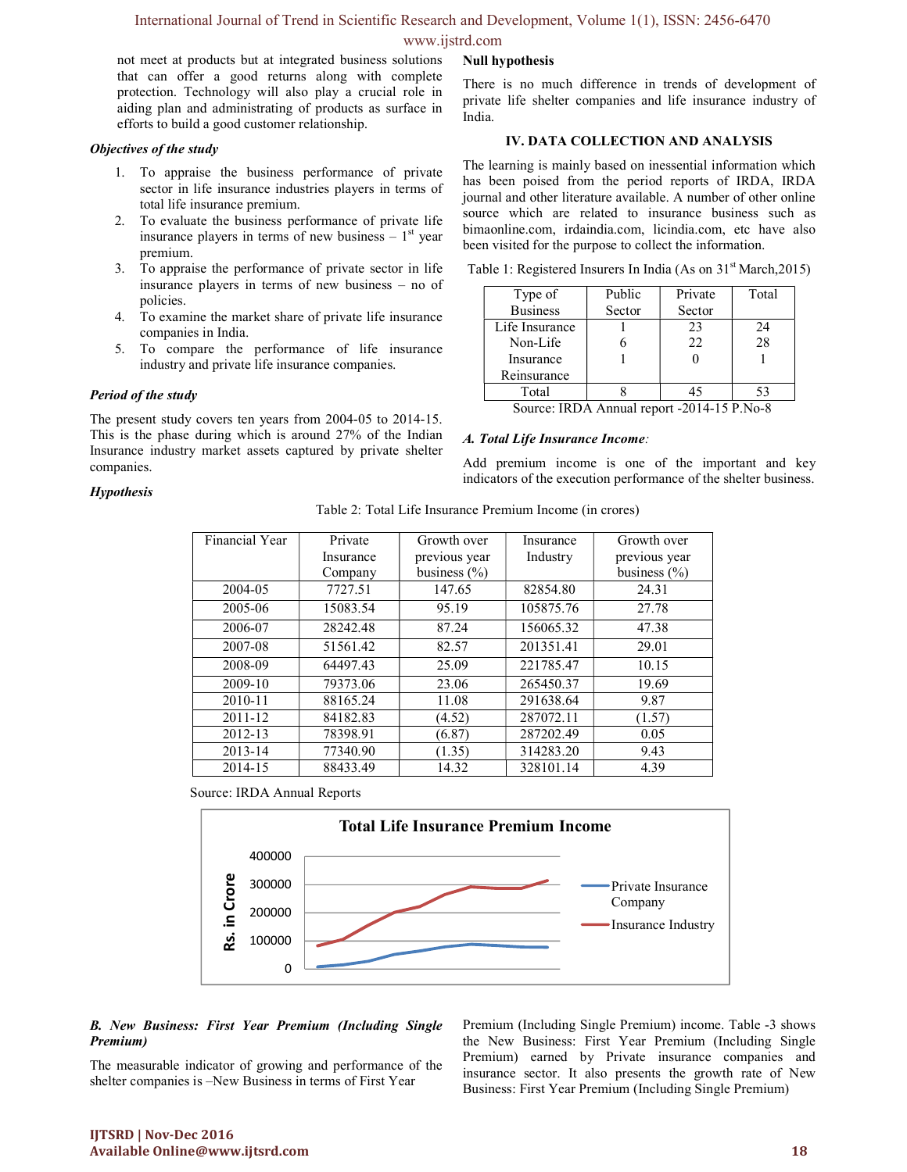# International Journal of Trend in Scientific Research and Development, Volume 1(1), ISSN: 2456-6470

## www.ijstrd.com

not meet at products but at integrated business solutions that can offer a good returns along with complete protection. Technology will also play a crucial role in aiding plan and administrating of products as surface in efforts to build a good customer relationship.

#### Objectives of the study

- 1. To appraise the business performance of private sector in life insurance industries players in terms of total life insurance premium.
- 2. To evaluate the business performance of private life insurance players in terms of new business  $-1<sup>st</sup>$  year premium.
- 3. To appraise the performance of private sector in life insurance players in terms of new business – no of policies.
- 4. To examine the market share of private life insurance companies in India.
- 5. To compare the performance of life insurance industry and private life insurance companies.

### Period of the study

The present study covers ten years from 2004-05 to 2014-15. This is the phase during which is around 27% of the Indian Insurance industry market assets captured by private shelter companies.

#### Null hypothesis

There is no much difference in trends of development of private life shelter companies and life insurance industry of India.

#### IV. DATA COLLECTION AND ANALYSIS

The learning is mainly based on inessential information which has been poised from the period reports of IRDA, IRDA journal and other literature available. A number of other online source which are related to insurance business such as bimaonline.com, irdaindia.com, licindia.com, etc have also been visited for the purpose to collect the information.

Table 1: Registered Insurers In India (As on  $31<sup>st</sup> March,2015$ )

| Type of                                                                                                                                                                                                                                                                                                                                                       | Public | Private | Total |  |
|---------------------------------------------------------------------------------------------------------------------------------------------------------------------------------------------------------------------------------------------------------------------------------------------------------------------------------------------------------------|--------|---------|-------|--|
| <b>Business</b>                                                                                                                                                                                                                                                                                                                                               | Sector | Sector  |       |  |
| Life Insurance                                                                                                                                                                                                                                                                                                                                                |        | 23      | 24    |  |
| Non-Life                                                                                                                                                                                                                                                                                                                                                      |        | 22      | 28    |  |
| Insurance                                                                                                                                                                                                                                                                                                                                                     |        |         |       |  |
| Reinsurance                                                                                                                                                                                                                                                                                                                                                   |        |         |       |  |
| Total                                                                                                                                                                                                                                                                                                                                                         |        |         | 53    |  |
| $\alpha$ $\mathbf{m}$ $\mathbf{A}$ $\mathbf{A}$ $\mathbf{B}$ $\mathbf{A}$ $\mathbf{A}$ $\mathbf{A}$ $\mathbf{A}$ $\mathbf{B}$ $\mathbf{A}$ $\mathbf{A}$ $\mathbf{B}$ $\mathbf{A}$ $\mathbf{A}$ $\mathbf{B}$ $\mathbf{A}$ $\mathbf{A}$ $\mathbf{A}$ $\mathbf{B}$ $\mathbf{A}$ $\mathbf{A}$ $\mathbf{B}$ $\mathbf{A}$ $\mathbf{A}$<br>$\Omega$<br>2011<br>n a t |        |         |       |  |

Source: IRDA Annual report -2014-15 P.No-8

#### A. Total Life Insurance Income:

Add premium income is one of the important and key indicators of the execution performance of the shelter business.

#### **Hypothesis**

| Table 2: Total Life Insurance Premium Income (in crores) |  |  |
|----------------------------------------------------------|--|--|
|                                                          |  |  |

| Financial Year | Private   | Growth over      | Insurance | Growth over      |
|----------------|-----------|------------------|-----------|------------------|
|                | Insurance | previous year    | Industry  | previous year    |
|                | Company   | business $(\% )$ |           | business $(\% )$ |
| 2004-05        | 7727.51   | 147.65           | 82854.80  | 24.31            |
| 2005-06        | 15083.54  | 95.19            | 105875.76 | 27.78            |
| 2006-07        | 28242.48  | 87.24            | 156065.32 | 47.38            |
| 2007-08        | 51561.42  | 82.57            | 201351.41 | 29.01            |
| 2008-09        | 64497.43  | 25.09            | 221785.47 | 10.15            |
| 2009-10        | 79373.06  | 23.06            | 265450.37 | 19.69            |
| $2010 - 11$    | 88165.24  | 11.08            | 291638.64 | 9.87             |
| 2011-12        | 84182.83  | (4.52)           | 287072.11 | (1.57)           |
| 2012-13        | 78398.91  | (6.87)           | 287202.49 | 0.05             |
| 2013-14        | 77340.90  | (1.35)           | 314283.20 | 9.43             |
| 2014-15        | 88433.49  | 14.32            | 328101.14 | 4.39             |

Source: IRDA Annual Reports



#### B. New Business: First Year Premium (Including Single Premium)

The measurable indicator of growing and performance of the shelter companies is –New Business in terms of First Year

Premium (Including Single Premium) income. Table -3 shows the New Business: First Year Premium (Including Single Premium) earned by Private insurance companies and insurance sector. It also presents the growth rate of New Business: First Year Premium (Including Single Premium)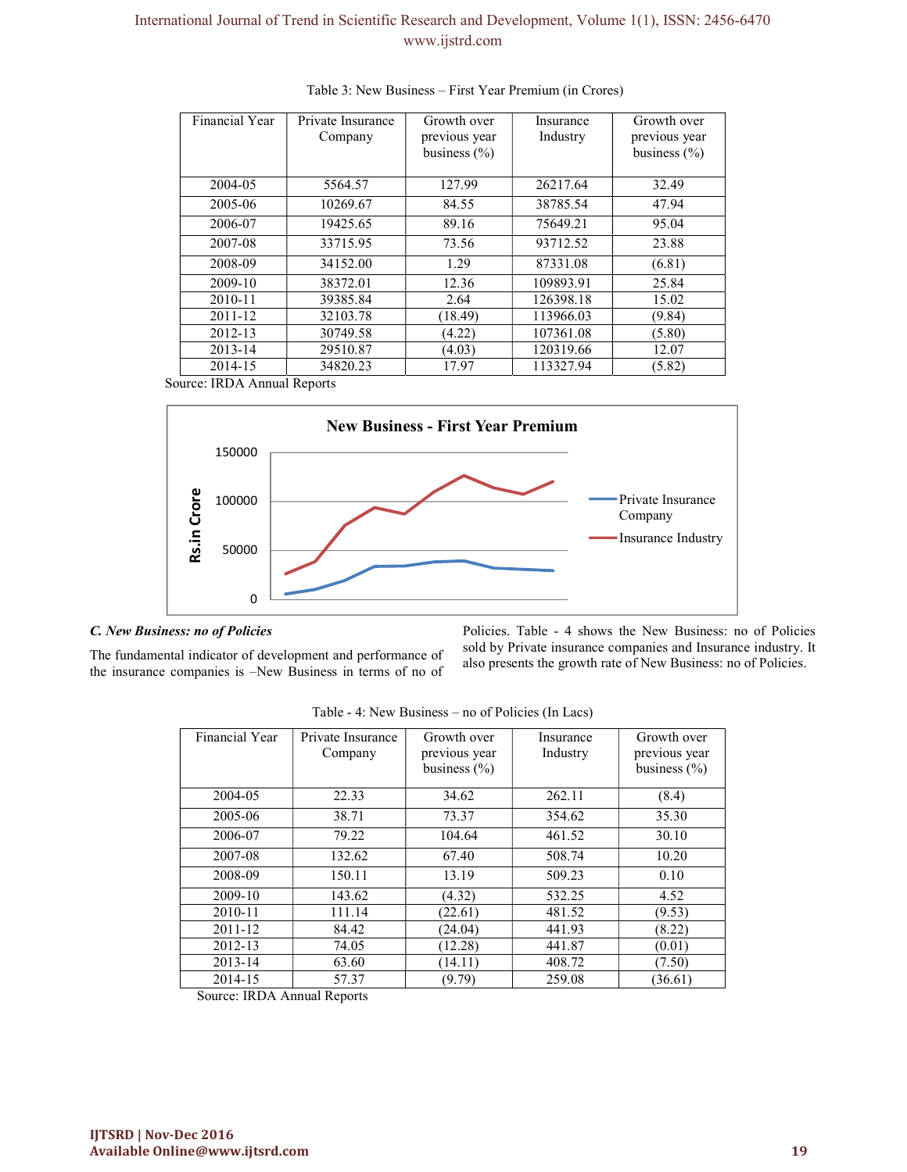# International Journal of Trend in Scientific Research and Development, Volume 1(1), ISSN: 2456-6470 www.ijstrd.com

| Financial Year             | Private Insurance<br>Company | Growth over<br>previous year<br>business $(\% )$ | Insurance<br>Industry | Growth over<br>previous year<br>business $(\% )$ |
|----------------------------|------------------------------|--------------------------------------------------|-----------------------|--------------------------------------------------|
| 2004-05                    | 5564.57                      | 127.99                                           | 26217.64              | 32.49                                            |
| 2005-06                    | 10269.67                     | 84.55                                            | 38785.54              | 47.94                                            |
| 2006-07                    | 19425.65                     | 89.16                                            | 75649.21              | 95.04                                            |
| 2007-08                    | 33715.95                     | 73.56                                            | 93712.52              | 23.88                                            |
| 2008-09                    | 34152.00                     | 1.29                                             | 87331.08              | (6.81)                                           |
| 2009-10                    | 38372.01                     | 12.36                                            | 109893.91             | 25.84                                            |
| 2010-11                    | 39385.84                     | 2.64                                             | 126398.18             | 15.02                                            |
| 2011-12                    | 32103.78                     | (18.49)                                          | 113966.03             | (9.84)                                           |
| 2012-13                    | 30749.58                     | (4.22)                                           | 107361.08             | (5.80)                                           |
| 2013-14                    | 29510.87                     | (4.03)                                           | 120319.66             | 12.07                                            |
| 2014-15                    | 34820.23                     | 17.97                                            | 113327.94             | (5.82)                                           |
| ource: IRDA Annual Reports |                              | <b>New Business - First Year Premium</b>         |                       |                                                  |
| 150000                     |                              |                                                  |                       |                                                  |

Table 3: New Business – First Year Premium (in Crores)

Source: IRDA Annual Reports



#### C. New Business: no of Policies

The fundamental indicator of development and performance of the insurance companies is –New Business in terms of no of Policies. Table - 4 shows the New Business: no of Policies sold by Private insurance companies and Insurance industry. It also presents the growth rate of New Business: no of Policies.

| Financial Year | Private Insurance<br>Company | Growth over<br>previous year | Insurance<br>Industry | Growth over<br>previous year |
|----------------|------------------------------|------------------------------|-----------------------|------------------------------|
|                |                              | business $(\% )$             |                       | business $(\% )$             |
| 2004-05        | 22.33                        | 34.62                        | 262.11                | (8.4)                        |
| 2005-06        | 38.71                        | 73.37                        | 354.62                | 35.30                        |
| 2006-07        | 79.22                        | 104.64                       | 461.52                | 30.10                        |
| 2007-08        | 132.62                       | 67.40                        | 508.74                | 10.20                        |
| 2008-09        | 150.11                       | 13.19                        | 509.23                | 0.10                         |
| 2009-10        | 143.62                       | (4.32)                       | 532.25                | 4.52                         |
| 2010-11        | 111.14                       | (22.61)                      | 481.52                | (9.53)                       |
| 2011-12        | 84.42                        | (24.04)                      | 441.93                | (8.22)                       |
| 2012-13        | 74.05                        | (12.28)                      | 441.87                | (0.01)                       |
| 2013-14        | 63.60                        | (14.11)                      | 408.72                | (7.50)                       |
| 2014-15        | 57.37                        | (9.79)                       | 259.08                | (36.61)                      |

Table - 4: New Business – no of Policies (In Lacs)

Source: IRDA Annual Reports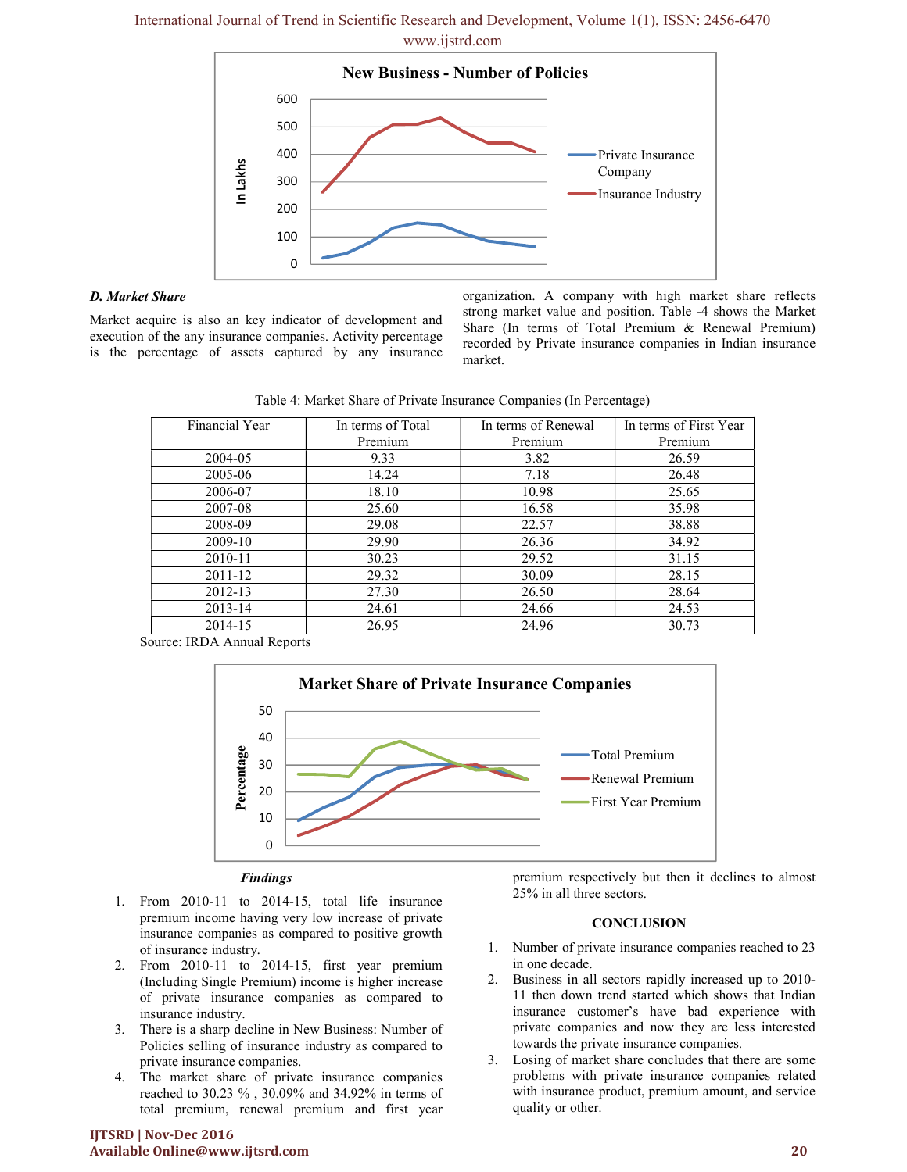International Journal of Trend in Scientific Research and Development, Volume 1(1), ISSN: 2456-6470 www.ijstrd.com



#### D. Market Share

Market acquire is also an key indicator of development and execution of the any insurance companies. Activity percentage is the percentage of assets captured by any insurance organization. A company with high market share reflects strong market value and position. Table -4 shows the Market Share (In terms of Total Premium & Renewal Premium) recorded by Private insurance companies in Indian insurance market.

| Table 4: Market Share of Private Insurance Companies (In Percentage) |  |  |
|----------------------------------------------------------------------|--|--|
|                                                                      |  |  |

| Financial Year | In terms of Total | In terms of Renewal | In terms of First Year |
|----------------|-------------------|---------------------|------------------------|
|                | Premium           | Premium             | Premium                |
| 2004-05        | 9.33              | 3.82                | 26.59                  |
| 2005-06        | 14.24             | 7.18                | 26.48                  |
| 2006-07        | 18.10             | 10.98               | 25.65                  |
| 2007-08        | 25.60             | 16.58               | 35.98                  |
| 2008-09        | 29.08             | 22.57               | 38.88                  |
| 2009-10        | 29.90             | 26.36               | 34.92                  |
| 2010-11        | 30.23             | 29.52               | 31.15                  |
| $2011 - 12$    | 29.32             | 30.09               | 28.15                  |
| 2012-13        | 27.30             | 26.50               | 28.64                  |
| 2013-14        | 24.61             | 24.66               | 24.53                  |
| 2014-15        | 26.95             | 24.96               | 30.73                  |

Source: IRDA Annual Reports



#### Findings

- 1. From 2010-11 to 2014-15, total life insurance premium income having very low increase of private insurance companies as compared to positive growth of insurance industry.
- 2. From 2010-11 to 2014-15, first year premium (Including Single Premium) income is higher increase of private insurance companies as compared to insurance industry.
- 3. There is a sharp decline in New Business: Number of Policies selling of insurance industry as compared to private insurance companies.
- 4. The market share of private insurance companies reached to 30.23 % , 30.09% and 34.92% in terms of total premium, renewal premium and first year

#### IJTSRD | Nov-Dec 2016 Available Online@www.ijtsrd.com 20

premium respectively but then it declines to almost 25% in all three sectors.

#### **CONCLUSION**

- 1. Number of private insurance companies reached to 23 in one decade.
- 2. Business in all sectors rapidly increased up to 2010- 11 then down trend started which shows that Indian insurance customer's have bad experience with private companies and now they are less interested towards the private insurance companies.
- 3. Losing of market share concludes that there are some problems with private insurance companies related with insurance product, premium amount, and service quality or other.